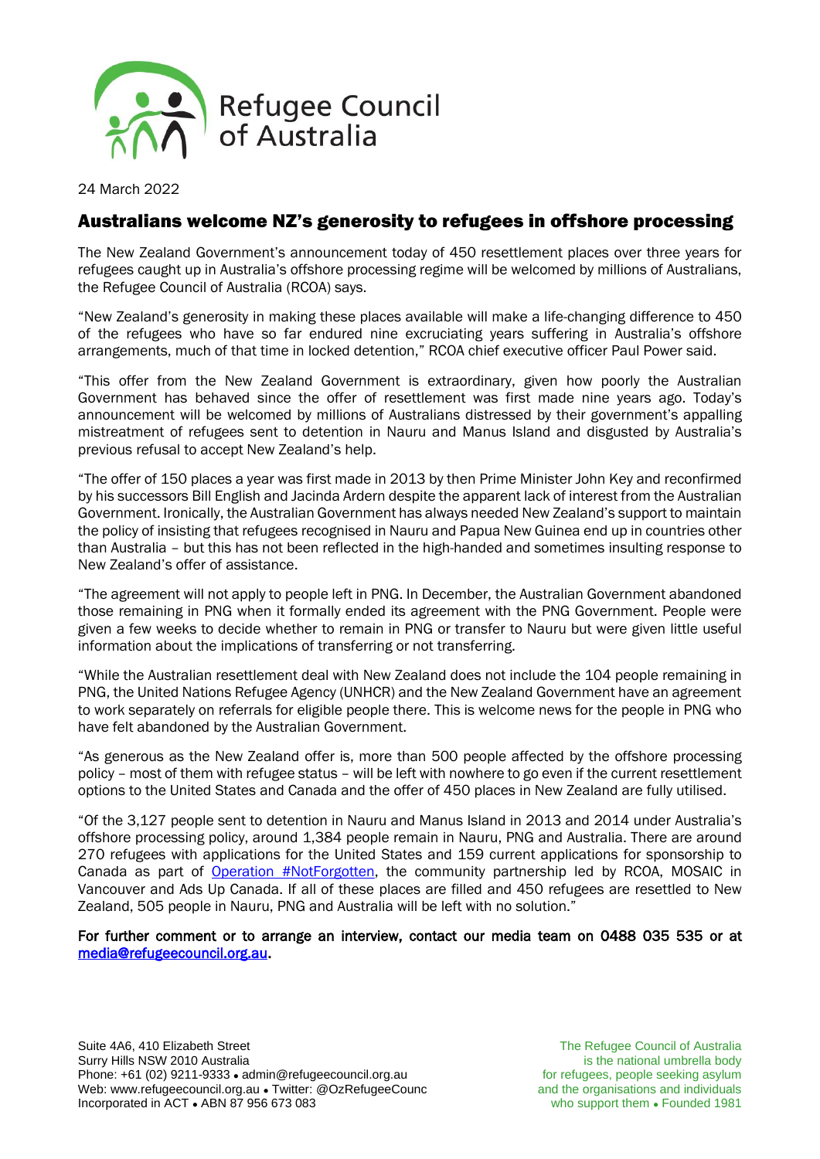

24 March 2022

### Australians welcome NZ's generosity to refugees in offshore processing

The New Zealand Government's announcement today of 450 resettlement places over three years for refugees caught up in Australia's offshore processing regime will be welcomed by millions of Australians, the Refugee Council of Australia (RCOA) says.

"New Zealand's generosity in making these places available will make a life-changing difference to 450 of the refugees who have so far endured nine excruciating years suffering in Australia's offshore arrangements, much of that time in locked detention," RCOA chief executive officer Paul Power said.

"This offer from the New Zealand Government is extraordinary, given how poorly the Australian Government has behaved since the offer of resettlement was first made nine years ago. Today's announcement will be welcomed by millions of Australians distressed by their government's appalling mistreatment of refugees sent to detention in Nauru and Manus Island and disgusted by Australia's previous refusal to accept New Zealand's help.

"The offer of 150 places a year was first made in 2013 by then Prime Minister John Key and reconfirmed by his successors Bill English and Jacinda Ardern despite the apparent lack of interest from the Australian Government. Ironically, the Australian Government has always needed New Zealand's support to maintain the policy of insisting that refugees recognised in Nauru and Papua New Guinea end up in countries other than Australia – but this has not been reflected in the high-handed and sometimes insulting response to New Zealand's offer of assistance.

"The agreement will not apply to people left in PNG. In December, the Australian Government abandoned those remaining in PNG when it formally ended its agreement with the PNG Government. People were given a few weeks to decide whether to remain in PNG or transfer to Nauru but were given little useful information about the implications of transferring or not transferring.

"While the Australian resettlement deal with New Zealand does not include the 104 people remaining in PNG, the United Nations Refugee Agency (UNHCR) and the New Zealand Government have an agreement to work separately on referrals for eligible people there. This is welcome news for the people in PNG who have felt abandoned by the Australian Government.

"As generous as the New Zealand offer is, more than 500 people affected by the offshore processing policy – most of them with refugee status – will be left with nowhere to go even if the current resettlement options to the United States and Canada and the offer of 450 places in New Zealand are fully utilised.

"Of the 3,127 people sent to detention in Nauru and Manus Island in 2013 and 2014 under Australia's offshore processing policy, around 1,384 people remain in Nauru, PNG and Australia. There are around 270 refugees with applications for the United States and 159 current applications for sponsorship to Canada as part of Operation [#NotForgotten,](http://www.refugeecouncil.org.au/canada) the community partnership led by RCOA, MOSAIC in Vancouver and Ads Up Canada. If all of these places are filled and 450 refugees are resettled to New Zealand, 505 people in Nauru, PNG and Australia will be left with no solution."

For further comment or to arrange an interview, contact our media team on 0488 035 535 or at [media@refugeecouncil.org.au.](mailto:media@refugeecouncil.org.au)